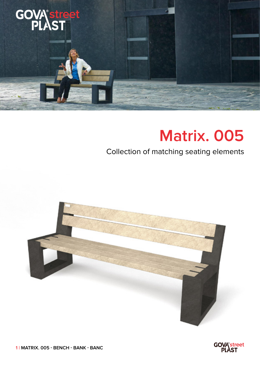

## **Matrix. 005**

## Collection of matching seating elements



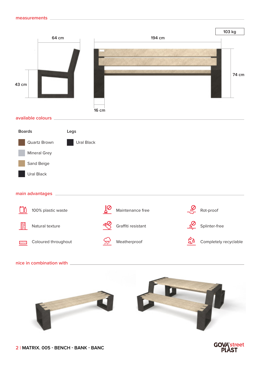